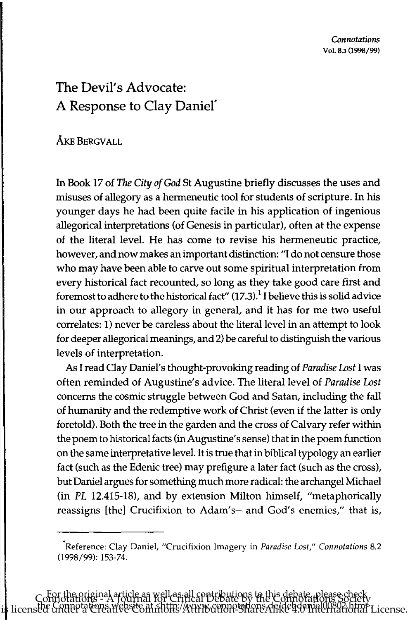## The Devil's Advocate: A Response to Clay Daniel"

**ÅKE BERGVALL** 

In Book 17 of The *City of God* St Augustine briefly discusses the uses and misuses of allegory as a hermeneutic tool for students of scripture. In his younger days he had been quite facile in his application of ingenious allegorical interpretations (of Genesis in particular), often at the expense of the literal level. He has come to revise his henneneutic practice, however, and now makes an important distinction: "I do not censure those who may have been able to carve out some spiritual interpretation from every historical fact recounted, so long as they take good care first and foremost to adhere to the historical fact"  $(17.3)$ .<sup>1</sup> I believe this is solid advice in our approach to allegory in general, and it has for me two useful correlates: 1) never be careless about the literal level in an attempt to look for deeper allegorical meanings, and 2) be careful to distinguish the various levels of interpretation.

As I read Clay Daniel's thought-provoking reading of *Paradise Lost* I was often reminded of Augustine's advice. The literal level of *Paradise Lost*  concerns the cosmic struggle between God and Satan, including the fall of humanity and the redemptive work of Christ (even if the latter is only foretold). Both the tree in the garden and the cross of Calvary refer within the poem to historical facts (in Augustine's sense) that in the poem function on the same interpretative level. It is true that in biblical typology an earlier fact (such as the Edenic tree) may prefigure a later fact (such as the cross), but Daniel argues for something much more radical: the archangel Michael (in *PL* 12.415-18), and by extension Milton himself, "metaphorically reassigns [the] Crucifixion to Adam's-and God's enemies," that is,

For the original article as well as all contributions to this debate, please check Connotations - A Journal for Critical Debate by the Connotations Society

the Connotations website at <http://www.connotations.de/debdaniel00802.htm>. is licensed under a Creative Commons Attribution-ShareAlike 4.0 International License.

<sup>&</sup>quot;Reference: Clay Daniel, "Crucifixion Imagery in *Paradise Lost," Connotations 8.2*  (1998/99): 153-74.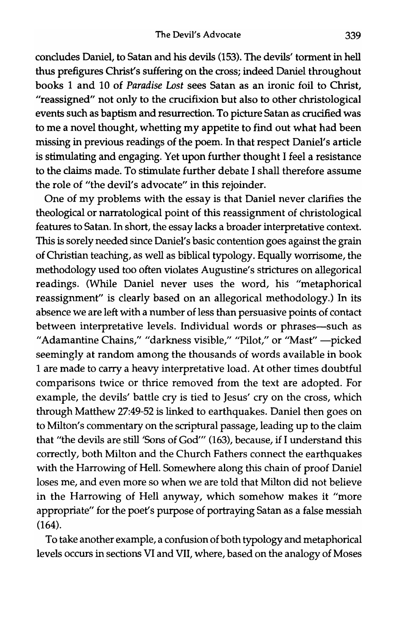concludes Daniel, to Satan and his devils (153). The devils' torment in hell thus prefigures Christ's suffering on the cross; indeed Daniel throughout books 1 and 10 of *Paradise Lost* sees Satan as an ironic foil to Christ, "reassigned" not only to the crucifixion but also to other christological events such as baptism and resurrection. To picture Satan as crucified was to me a novel thought, whetting my appetite to find out what had been missing in previous readings of the poem. In that respect Daniel's article is stimulating and engaging. Yet upon further thought I feel a resistance to the claims made. To stimulate further debate I shall therefore assume the role of "the devil's advocate" in this rejoinder.

One of my problems with the essay is that Daniel never clarifies the theological or narratological point of this reassignment of christological features to Satan. In short, the essay lacks a broader interpretative context. This is sorely needed since Daniel's basic contention goes against the grain of Christian teaching, as well as biblical typology. Equally worrisome, the methodology used too often violates Augustine's strictures on allegorical readings. (While Daniel never uses the word, his "metaphorical reassignment" is clearly based on an allegorical methodology.) In its absence we are left with a number of less than persuasive points of contact between interpretative levels. Individual words or phrases-such as "Adamantine Chains," "darkness visible," "Pilot," or "Mast" -- picked seemingly at random among the thousands of words available in book 1 are made to carry a heavy interpretative load. At other times doubtful comparisons twice or thrice removed from the text are adopted. For example, the devils' battle cry is tied to Jesus' cry on the cross, which through Matthew 27:49-52 is linked to earthquakes. Daniel then goes on to Milton's commentary on the scriptural passage, leading up to the claim that "the devils are still 'Sons of God'" (163), because, if I understand this correctly, both Milton and the Church Fathers connect the earthquakes with the Harrowing of Hell. Somewhere along this chain of proof Daniel loses me, and even more so when we are told that Milton did not believe in the Harrowing of Hell anyway, which somehow makes it "more appropriate" for the poet's purpose of portraying Satan as a false messiah (164).

To take another example, a confusion of both typology and metaphorical levels occurs in sections VI and VII, where, based on the analogy of Moses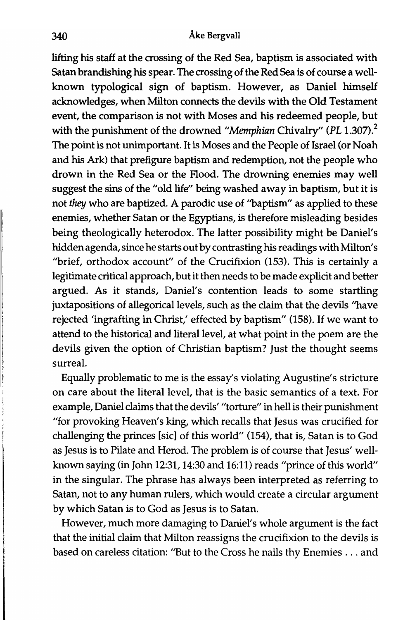lifting his staff at the crossing of the Red Sea, baptism is associated with Satan brandishing his spear. The crossing of the Red Sea is of course a wellknown typological sign of baptism. However, as Daniel himself acknowledges, when Milton connects the devils with the Old Testament event, the comparison is not with Moses and his redeemed people, but with the punishment of the drowned *"Memphian* Chivalry" *(PL 1.307).2*  The point is not unimportant. It is Moses and the People of Israel (or Noah and his Ark) that prefigure baptism and redemption, not the people who drown in the Red Sea or the Flood. The drowning enemies may well suggest the sins of the "old life" being washed away in baptism, but it is not *they* who are baptized. A parodic use of "baptism" as applied to these enemies, whether Satan or the Egyptians, is therefore misleading besides being theologically heterodox. The latter possibility might be Daniel's hidden agenda, since he starts out by contrasting his readings with Milton's "brief, orthodox account" of the Crucifixion (153). This is certainly a legitimate critical approach, but it then needs to be made explicit and better argued. As it stands, Daniel's contention leads to some startling juxtapositions of allegorical levels, such as the claim that the devils ''have rejected 'ingrafting in Christ,' effected by baptism" (158). lf we want to attend to the historical and literal level, at what point in the poem are the devils given the option of Christian baptism? Just the thought seems surreal.

Equally problematic to me is the essay's violating Augustine's stricture on care about the literal level, that is the basic semantics of a text. For example, Daniel claims that the devils' "torture" in hell is their punishment "for provoking Heaven's king, which recalls that Jesus was crucified for challenging the princes [sic] of this world" (154), that is, Satan is to God as Jesus is to Pilate and Herod. The problem is of course that Jesus' wellknown saying (in John 12:31, 14:30 and 16:11) reads "prince of this world" in the singular. The phrase has always been interpreted as referring to Satan, not to any human rulers, which would create a circular argument by which Satan is to God as Jesus is to Satan.

However, much more damaging to Daniel's whole argument is the fact that the initial claim that Milton reassigns the crucifixion to the devils is based on careless citation: "But to the Cross he nails thy Enemies ... and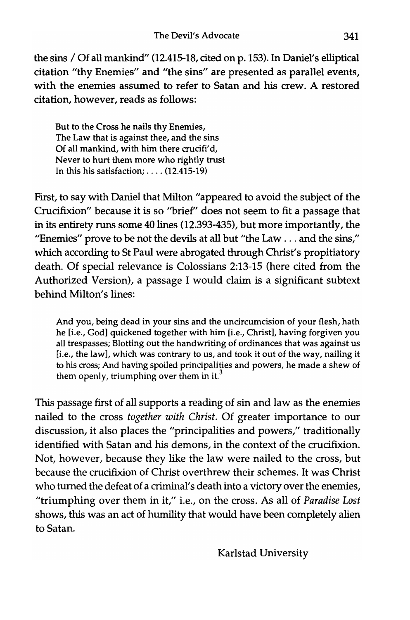the sins / Of all mankind" (12.415-18, cited on p. 153). In Daniel's elliptical citation "thy Enemies" and "the sins" are presented as parallel events, with the enemies assumed to refer to Satan and his crew. A restored citation, however, reads as follows:

But to the Cross he nails thy Enemies, The Law that is against thee, and the sins Of all mankind, with him there crucifi'd, Never to hurt them more who rightly trust In this his satisfaction;  $\ldots$  (12.415-19)

First, to say with Daniel that Milton "appeared to avoid the subject of the Crucifixion" because it is so ''brief'' does not seem to fit a passage that in its entirety runs some 40 lines (12.393-435), but more importantly, the "Enemies" prove to be not the devils at all but "the Law ... and the sins," which according to St Paul were abrogated through Christ's propitiatory death. Of special relevance is Colossians 2:13-15 (here cited from the Authorized Version), a passage I would claim is a significant subtext behind Milton's lines:

And you, being dead in your sins and the uncircumcision of your flesh, hath he [i.e., God] quickened together with him [i.e., Christ], having forgiven you all trespasses; Blotting out the handwriting of ordinances that was against us [i.e., the law], which was contrary to us, and took it out of the way, nailing it to his cross; And having spoiled principalities and powers, he made a shew of them openly, triumphing over them in it.<sup>3</sup>

This passage first of all supports a reading of sin and law as the enemies nailed to the cross *together with Christ.* Of greater importance to our discussion, it also places the "principalities and powers," traditionally identified with Satan and his demons, in the context of the crucifixion. Not, however, because they like the law were nailed to the cross, but because the crucifixion of Christ overthrew their schemes. It was Christ who turned the defeat of a criminal's death into a victory over the enemies, "triumphing over them in it," i.e., on the cross. As all of *Paradise Lost*  shows, this was an act of humility that would have been completely alien to Satan.

Karlstad University